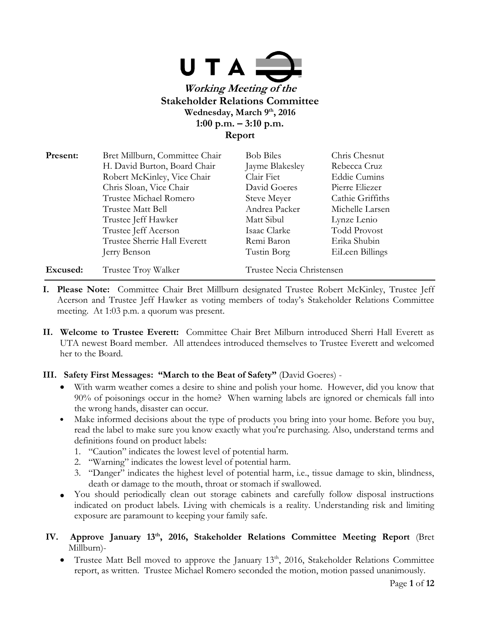

| Present: | Bret Millburn, Committee Chair | <b>Bob Biles</b>          | Chris Chesnut       |
|----------|--------------------------------|---------------------------|---------------------|
|          | H. David Burton, Board Chair   | Jayme Blakesley           | Rebecca Cruz        |
|          | Robert McKinley, Vice Chair    | Clair Fiet                | <b>Eddie Cumins</b> |
|          | Chris Sloan, Vice Chair        | David Goeres              | Pierre Eliezer      |
|          | Trustee Michael Romero         | Steve Meyer               | Cathie Griffiths    |
|          | Trustee Matt Bell              | Andrea Packer             | Michelle Larsen     |
|          | Trustee Jeff Hawker            | Matt Sibul                | Lynze Lenio         |
|          | Trustee Jeff Acerson           | Isaac Clarke              | <b>Todd Provost</b> |
|          | Trustee Sherrie Hall Everett   | Remi Baron                | Erika Shubin        |
|          | Jerry Benson                   | Tustin Borg               | EiLeen Billings     |
| Excused: | Trustee Troy Walker            | Trustee Necia Christensen |                     |

- **I. Please Note:** Committee Chair Bret Millburn designated Trustee Robert McKinley, Trustee Jeff Acerson and Trustee Jeff Hawker as voting members of today's Stakeholder Relations Committee meeting. At 1:03 p.m. a quorum was present.
- **II. Welcome to Trustee Everett:** Committee Chair Bret Milburn introduced Sherri Hall Everett as UTA newest Board member. All attendees introduced themselves to Trustee Everett and welcomed her to the Board.

#### **III. Safety First Messages: "March to the Beat of Safety"** (David Goeres) -

- With warm weather comes a desire to shine and polish your home. However, did you know that 90% of poisonings occur in the home? When warning labels are ignored or chemicals fall into the wrong hands, disaster can occur.
- Make informed decisions about the type of products you bring into your home. Before you buy, read the label to make sure you know exactly what you're purchasing. Also, understand terms and definitions found on product labels:
	- 1. "Caution" indicates the lowest level of potential harm.
	- 2. "Warning" indicates the lowest level of potential harm.
	- 3. "Danger" indicates the highest level of potential harm, i.e., tissue damage to skin, blindness, death or damage to the mouth, throat or stomach if swallowed.
- You should periodically clean out storage cabinets and carefully follow disposal instructions indicated on product labels. Living with chemicals is a reality. Understanding risk and limiting exposure are paramount to keeping your family safe.
- **IV. Approve January 13th, 2016, Stakeholder Relations Committee Meeting Report** (Bret Millburn)-
	- Trustee Matt Bell moved to approve the January  $13<sup>th</sup>$ , 2016, Stakeholder Relations Committee report, as written. Trustee Michael Romero seconded the motion, motion passed unanimously.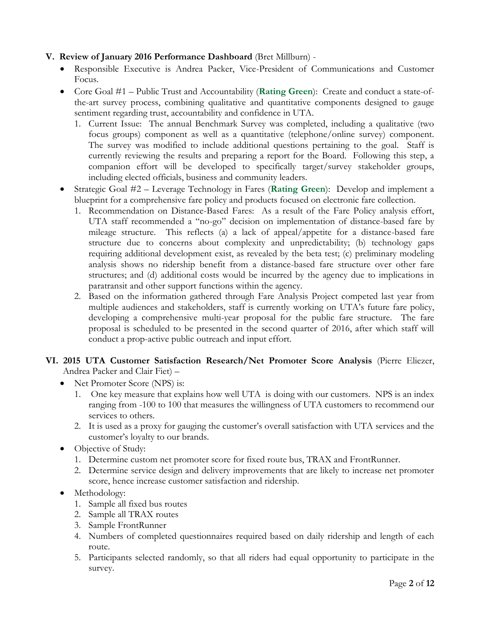# **V. Review of January 2016 Performance Dashboard** (Bret Millburn) -

- Responsible Executive is Andrea Packer, Vice-President of Communications and Customer Focus.
- Core Goal #1 Public Trust and Accountability (**Rating Green**): Create and conduct a state-ofthe-art survey process, combining qualitative and quantitative components designed to gauge sentiment regarding trust, accountability and confidence in UTA.
	- 1. Current Issue: The annual Benchmark Survey was completed, including a qualitative (two focus groups) component as well as a quantitative (telephone/online survey) component. The survey was modified to include additional questions pertaining to the goal. Staff is currently reviewing the results and preparing a report for the Board. Following this step, a companion effort will be developed to specifically target/survey stakeholder groups, including elected officials, business and community leaders.
- Strategic Goal #2 Leverage Technology in Fares (**Rating Green**): Develop and implement a blueprint for a comprehensive fare policy and products focused on electronic fare collection.
	- 1. Recommendation on Distance-Based Fares: As a result of the Fare Policy analysis effort, UTA staff recommended a "no-go" decision on implementation of distance-based fare by mileage structure. This reflects (a) a lack of appeal/appetite for a distance-based fare structure due to concerns about complexity and unpredictability; (b) technology gaps requiring additional development exist, as revealed by the beta test; (c) preliminary modeling analysis shows no ridership benefit from a distance-based fare structure over other fare structures; and (d) additional costs would be incurred by the agency due to implications in paratransit and other support functions within the agency.
	- 2. Based on the information gathered through Fare Analysis Project competed last year from multiple audiences and stakeholders, staff is currently working on UTA's future fare policy, developing a comprehensive multi-year proposal for the public fare structure. The fare proposal is scheduled to be presented in the second quarter of 2016, after which staff will conduct a prop-active public outreach and input effort.

# **VI. 2015 UTA Customer Satisfaction Research/Net Promoter Score Analysis** (Pierre Eliezer, Andrea Packer and Clair Fiet) –

- Net Promoter Score (NPS) is:
	- 1. One key measure that explains how well UTA is doing with our customers. NPS is an index ranging from -100 to 100 that measures the willingness of UTA customers to recommend our services to others.
	- 2. It is used as a proxy for gauging the customer's overall satisfaction with UTA services and the customer's loyalty to our brands.
- Objective of Study:
	- 1. Determine custom net promoter score for fixed route bus, TRAX and FrontRunner.
	- 2. Determine service design and delivery improvements that are likely to increase net promoter score, hence increase customer satisfaction and ridership.
- Methodology:
	- 1. Sample all fixed bus routes
	- 2. Sample all TRAX routes
	- 3. Sample FrontRunner
	- 4. Numbers of completed questionnaires required based on daily ridership and length of each route.
	- 5. Participants selected randomly, so that all riders had equal opportunity to participate in the survey.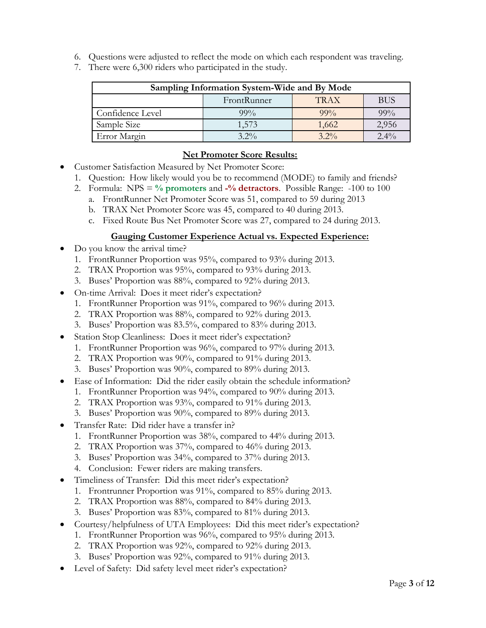- 6. Questions were adjusted to reflect the mode on which each respondent was traveling.
- 7. There were 6,300 riders who participated in the study.

| Sampling Information System-Wide and By Mode |             |             |            |  |
|----------------------------------------------|-------------|-------------|------------|--|
|                                              | FrontRunner | <b>TRAX</b> | <b>BUS</b> |  |
| Confidence Level                             | $99\%$      | $99\%$      | 99%        |  |
| Sample Size                                  | 1,573       | 1,662       | 2,956      |  |
| Error Margin                                 | $3.2\%$     | $3.2\%$     | $2.4\%$    |  |

#### **Net Promoter Score Results:**

- Customer Satisfaction Measured by Net Promoter Score:
	- 1. Question: How likely would you be to recommend (MODE) to family and friends?
	- 2. Formula: NPS = **% promoters** and **-% detractors**. Possible Range: -100 to 100
		- a. FrontRunner Net Promoter Score was 51, compared to 59 during 2013
		- b. TRAX Net Promoter Score was 45, compared to 40 during 2013.
		- c. Fixed Route Bus Net Promoter Score was 27, compared to 24 during 2013.

#### **Gauging Customer Experience Actual vs. Expected Experience:**

- Do you know the arrival time?
	- 1. FrontRunner Proportion was 95%, compared to 93% during 2013.
	- 2. TRAX Proportion was 95%, compared to 93% during 2013.
	- 3. Buses' Proportion was 88%, compared to 92% during 2013.
- On-time Arrival: Does it meet rider's expectation?
	- 1. FrontRunner Proportion was 91%, compared to 96% during 2013.
	- 2. TRAX Proportion was 88%, compared to 92% during 2013.
	- 3. Buses' Proportion was 83.5%, compared to 83% during 2013.
- Station Stop Cleanliness: Does it meet rider's expectation?
	- 1. FrontRunner Proportion was 96%, compared to 97% during 2013.
	- 2. TRAX Proportion was 90%, compared to 91% during 2013.
	- 3. Buses' Proportion was 90%, compared to 89% during 2013.
- Ease of Information: Did the rider easily obtain the schedule information?
	- 1. FrontRunner Proportion was 94%, compared to 90% during 2013.
	- 2. TRAX Proportion was 93%, compared to 91% during 2013.
	- 3. Buses' Proportion was 90%, compared to 89% during 2013.
- Transfer Rate: Did rider have a transfer in?
	- 1. FrontRunner Proportion was 38%, compared to 44% during 2013.
	- 2. TRAX Proportion was 37%, compared to 46% during 2013.
	- 3. Buses' Proportion was 34%, compared to 37% during 2013.
	- 4. Conclusion: Fewer riders are making transfers.
- Timeliness of Transfer: Did this meet rider's expectation?
	- 1. Frontrunner Proportion was 91%, compared to 85% during 2013.
	- 2. TRAX Proportion was 88%, compared to 84% during 2013.
	- 3. Buses' Proportion was 83%, compared to 81% during 2013.
- Courtesy/helpfulness of UTA Employees: Did this meet rider's expectation?
	- 1. FrontRunner Proportion was 96%, compared to 95% during 2013.
	- 2. TRAX Proportion was 92%, compared to 92% during 2013.
	- 3. Buses' Proportion was 92%, compared to 91% during 2013.
- Level of Safety: Did safety level meet rider's expectation?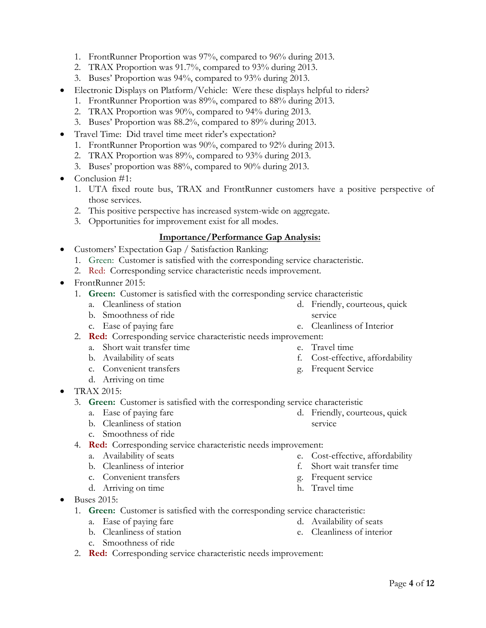- Travel Time: Did travel time meet rider's expectation?
	- 1. FrontRunner Proportion was 90%, compared to 92% during 2013.

1. FrontRunner Proportion was 97%, compared to 96% during 2013. 2. TRAX Proportion was 91.7%, compared to 93% during 2013. 3. Buses' Proportion was 94%, compared to 93% during 2013.

 Electronic Displays on Platform/Vehicle: Were these displays helpful to riders? 1. FrontRunner Proportion was 89%, compared to 88% during 2013.

2. TRAX Proportion was 89%, compared to 93% during 2013.

2. TRAX Proportion was 90%, compared to 94% during 2013. 3. Buses' Proportion was 88.2%, compared to 89% during 2013.

- 3. Buses' proportion was 88%, compared to 90% during 2013.
- Conclusion #1:
	- 1. UTA fixed route bus, TRAX and FrontRunner customers have a positive perspective of those services.
	- 2. This positive perspective has increased system-wide on aggregate.
	- 3. Opportunities for improvement exist for all modes.

#### **Importance/Performance Gap Analysis:**

- Customers' Expectation Gap / Satisfaction Ranking:
	- 1. Green: Customer is satisfied with the corresponding service characteristic.
	- 2. Red: Corresponding service characteristic needs improvement.
- FrontRunner 2015:
	- 1. **Green:** Customer is satisfied with the corresponding service characteristic
		- a. Cleanliness of station
		- b. Smoothness of ride c. Ease of paying fare
	- 2. **Red:** Corresponding service characteristic needs improvement:
		- a. Short wait transfer time
		- b. Availability of seats
		- c. Convenient transfers
		- d. Arriving on time
- TRAX 2015:
	- 3. **Green:** Customer is satisfied with the corresponding service characteristic
		- a. Ease of paying fare
		- b. Cleanliness of station
		- c. Smoothness of ride
	- 4. **Red:** Corresponding service characteristic needs improvement:
		- a. Availability of seats
		- b. Cleanliness of interior
		- c. Convenient transfers
		- d. Arriving on time
- $\bullet$  Buses 2015:
	- 1. **Green:** Customer is satisfied with the corresponding service characteristic:
		- a. Ease of paying fare
		- b. Cleanliness of station
		- c. Smoothness of ride
	- 2. **Red:** Corresponding service characteristic needs improvement:
- 
- 
- d. Friendly, courteous, quick
	-
- e. Cost-effective, affordability
- f. Short wait transfer time
- g. Frequent service

d. Availability of seats e. Cleanliness of interior

h. Travel time

- g. Frequent Service
- d. Friendly, courteous, quick service
- e. Cleanliness of Interior
- 
- e. Travel time
- f. Cost-effective, affordability
- service
- 
- 
- 
-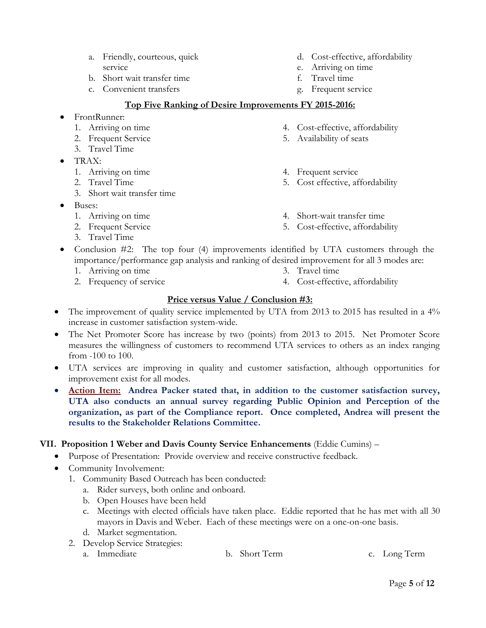- a. Friendly, courteous, quick service
- b. Short wait transfer time
- c. Convenient transfers
- d. Cost-effective, affordability
- e. Arriving on time
- f. Travel time

5. Availability of seats

4. Frequent service

g. Frequent service

4. Cost-effective, affordability

5. Cost effective, affordability

4. Short-wait transfer time 5. Cost-effective, affordability

#### **Top Five Ranking of Desire Improvements FY 2015-2016:**

- FrontRunner:
	- 1. Arriving on time
	- 2. Frequent Service
	- 3. Travel Time
- TRAX:
	- 1. Arriving on time
	- 2. Travel Time
	- 3. Short wait transfer time
- Buses:
	- 1. Arriving on time
	- 2. Frequent Service
	- 3. Travel Time
- Conclusion #2: The top four (4) improvements identified by UTA customers through the importance/performance gap analysis and ranking of desired improvement for all 3 modes are:
	- 1. Arriving on time
	- 2. Frequency of service
- 
- 4. Cost-effective, affordability

# **Price versus Value / Conclusion #3:**

- The improvement of quality service implemented by UTA from 2013 to 2015 has resulted in a 4% increase in customer satisfaction system-wide.
- The Net Promoter Score has increase by two (points) from 2013 to 2015. Net Promoter Score measures the willingness of customers to recommend UTA services to others as an index ranging from -100 to 100.
- UTA services are improving in quality and customer satisfaction, although opportunities for improvement exist for all modes.
- **Action Item: Andrea Packer stated that, in addition to the customer satisfaction survey, UTA also conducts an annual survey regarding Public Opinion and Perception of the organization, as part of the Compliance report. Once completed, Andrea will present the results to the Stakeholder Relations Committee.**

# **VII. Proposition 1 Weber and Davis County Service Enhancements** (Eddie Cumins) –

- Purpose of Presentation: Provide overview and receive constructive feedback.
- Community Involvement:
	- 1. Community Based Outreach has been conducted:
		- a. Rider surveys, both online and onboard.
		- b. Open Houses have been held
		- c. Meetings with elected officials have taken place. Eddie reported that he has met with all 30 mayors in Davis and Weber. Each of these meetings were on a one-on-one basis.
		- d. Market segmentation.
	- 2. Develop Service Strategies:
		- a. Immediate b. Short Term c. Long Term

- 
- 3. Travel time
- 
- 
-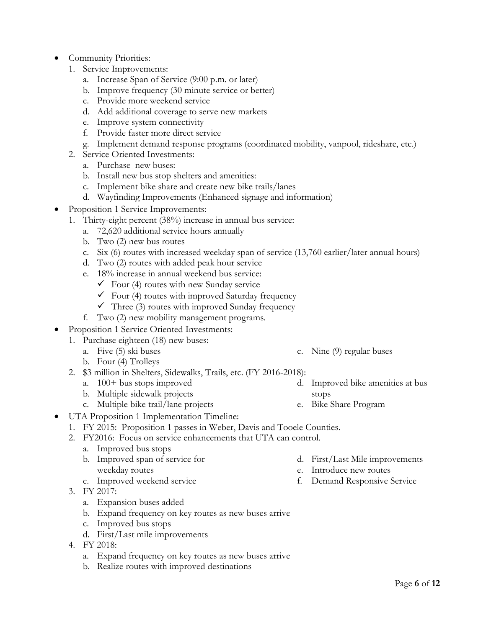- Community Priorities:
	- 1. Service Improvements:
		- a. Increase Span of Service (9:00 p.m. or later)
		- b. Improve frequency (30 minute service or better)
		- c. Provide more weekend service
		- d. Add additional coverage to serve new markets
		- e. Improve system connectivity
		- f. Provide faster more direct service
		- g. Implement demand response programs (coordinated mobility, vanpool, rideshare, etc.)
	- 2. Service Oriented Investments:
		- a. Purchase new buses:
		- b. Install new bus stop shelters and amenities:
		- c. Implement bike share and create new bike trails/lanes
		- d. Wayfinding Improvements (Enhanced signage and information)
- Proposition 1 Service Improvements:
	- 1. Thirty-eight percent (38%) increase in annual bus service:
		- a. 72,620 additional service hours annually
		- b. Two (2) new bus routes
		- c. Six (6) routes with increased weekday span of service (13,760 earlier/later annual hours)
		- d. Two (2) routes with added peak hour service
		- e. 18% increase in annual weekend bus service:
			- $\checkmark$  Four (4) routes with new Sunday service
			- $\checkmark$  Four (4) routes with improved Saturday frequency
			- $\checkmark$  Three (3) routes with improved Sunday frequency
		- f. Two (2) new mobility management programs.
- Proposition 1 Service Oriented Investments:
	- 1. Purchase eighteen (18) new buses:
		- a. Five (5) ski buses
		- b. Four (4) Trolleys
		- 2. \$3 million in Shelters, Sidewalks, Trails, etc. (FY 2016-2018):
			- a. 100+ bus stops improved
			- b. Multiple sidewalk projects
			- c. Multiple bike trail/lane projects
- UTA Proposition 1 Implementation Timeline:
	- 1. FY 2015: Proposition 1 passes in Weber, Davis and Tooele Counties.
	- 2. FY2016: Focus on service enhancements that UTA can control.
		- a. Improved bus stops
		- b. Improved span of service for weekday routes
		- c. Improved weekend service
	- 3. FY 2017:
		- a. Expansion buses added
		- b. Expand frequency on key routes as new buses arrive
		- c. Improved bus stops
		- d. First/Last mile improvements
	- 4. FY 2018:
		- a. Expand frequency on key routes as new buses arrive
		- b. Realize routes with improved destinations
- d. First/Last Mile improvements
- e. Introduce new routes
- f. Demand Responsive Service
- 
- d. Improved bike amenities at bus stops
- e. Bike Share Program

c. Nine (9) regular buses

- 
-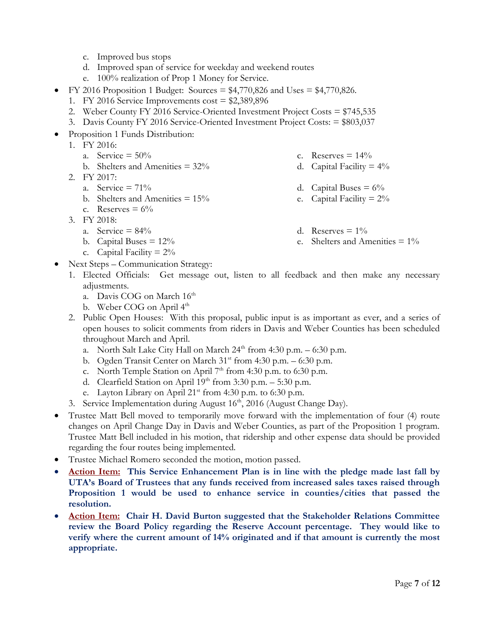- c. Improved bus stops
- d. Improved span of service for weekday and weekend routes
- e. 100% realization of Prop 1 Money for Service.
- FY 2016 Proposition 1 Budget: Sources =  $$4,770,826$  and Uses =  $$4,770,826$ .
	- 1. FY 2016 Service Improvements  $cost = $2,389,896$
	- 2. Weber County FY 2016 Service-Oriented Investment Project Costs = \$745,535
	- 3. Davis County FY 2016 Service-Oriented Investment Project Costs: = \$803,037
- Proposition 1 Funds Distribution:
	- 1. FY 2016:
		- a. Service  $= 50\%$ 
			- b. Shelters and Amenities  $= 32\%$
	- 2. FY 2017:
		- a. Service  $= 71\%$
		- b. Shelters and Amenities  $= 15\%$
		- c. Reserves  $= 6\%$
	- 3. FY 2018:
		- a. Service =  $84\%$
		- b. Capital Buses  $= 12\%$
		- c. Capital Facility =  $2\%$
- Next Steps Communication Strategy:
	- 1. Elected Officials: Get message out, listen to all feedback and then make any necessary adjustments.
		- a. Davis COG on March 16th
		- b. Weber COG on April  $4<sup>th</sup>$
	- 2. Public Open Houses: With this proposal, public input is as important as ever, and a series of open houses to solicit comments from riders in Davis and Weber Counties has been scheduled throughout March and April.
		- a. North Salt Lake City Hall on March  $24<sup>th</sup>$  from 4:30 p.m. 6:30 p.m.
		- b. Ogden Transit Center on March  $31<sup>st</sup>$  from 4:30 p.m. 6:30 p.m.
		- c. North Temple Station on April  $7<sup>th</sup>$  from 4:30 p.m. to 6:30 p.m.
		- d. Clearfield Station on April  $19<sup>th</sup>$  from 3:30 p.m. 5:30 p.m.
		- e. Layton Library on April  $21^{st}$  from 4:30 p.m. to 6:30 p.m.
	- 3. Service Implementation during August 16<sup>th</sup>, 2016 (August Change Day).
- Trustee Matt Bell moved to temporarily move forward with the implementation of four (4) route changes on April Change Day in Davis and Weber Counties, as part of the Proposition 1 program. Trustee Matt Bell included in his motion, that ridership and other expense data should be provided regarding the four routes being implemented.
- Trustee Michael Romero seconded the motion, motion passed.
- **Action Item:** This Service Enhancement Plan is in line with the pledge made last fall by **UTA's Board of Trustees that any funds received from increased sales taxes raised through Proposition 1 would be used to enhance service in counties/cities that passed the resolution.**
- **Action Item: Chair H. David Burton suggested that the Stakeholder Relations Committee review the Board Policy regarding the Reserve Account percentage. They would like to verify where the current amount of 14% originated and if that amount is currently the most appropriate.**
- c. Reserves  $= 14\%$
- d. Capital Facility  $= 4\%$
- d. Capital Buses  $= 6\%$
- e. Capital Facility  $= 2\%$
- d. Reserves  $= 1\%$
- e. Shelters and Amenities = 1%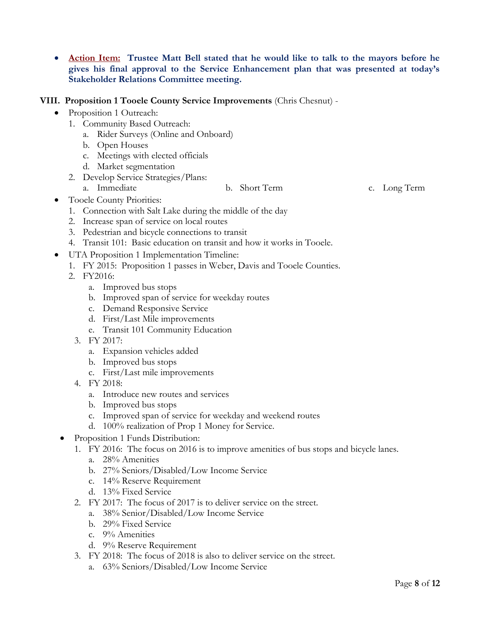- **Action Item: Trustee Matt Bell stated that he would like to talk to the mayors before he gives his final approval to the Service Enhancement plan that was presented at today's Stakeholder Relations Committee meeting.**
- **VIII. Proposition 1 Tooele County Service Improvements** (Chris Chesnut)
	- Proposition 1 Outreach:
		- 1. Community Based Outreach:
			- a. Rider Surveys (Online and Onboard)
			- b. Open Houses
			- c. Meetings with elected officials
			- d. Market segmentation
		- 2. Develop Service Strategies/Plans:
			- a. Immediate b. Short Term c. Long Term

- Tooele County Priorities:
	- 1. Connection with Salt Lake during the middle of the day
	- 2. Increase span of service on local routes
	- 3. Pedestrian and bicycle connections to transit
	- 4. Transit 101: Basic education on transit and how it works in Tooele.
- UTA Proposition 1 Implementation Timeline:
	- 1. FY 2015: Proposition 1 passes in Weber, Davis and Tooele Counties.
	- 2. FY2016:
		- a. Improved bus stops
		- b. Improved span of service for weekday routes
		- c. Demand Responsive Service
		- d. First/Last Mile improvements
		- e. Transit 101 Community Education
		- 3. FY 2017:
			- a. Expansion vehicles added
			- b. Improved bus stops
			- c. First/Last mile improvements
		- 4. FY 2018:
			- a. Introduce new routes and services
			- b. Improved bus stops
			- c. Improved span of service for weekday and weekend routes
			- d. 100% realization of Prop 1 Money for Service.
- Proposition 1 Funds Distribution:
	- 1. FY 2016: The focus on 2016 is to improve amenities of bus stops and bicycle lanes.
		- a. 28% Amenities
		- b. 27% Seniors/Disabled/Low Income Service
		- c. 14% Reserve Requirement
		- d. 13% Fixed Service
	- 2. FY 2017: The focus of 2017 is to deliver service on the street.
		- a. 38% Senior/Disabled/Low Income Service
		- b. 29% Fixed Service
		- c. 9% Amenities
		- d. 9% Reserve Requirement
	- 3. FY 2018: The focus of 2018 is also to deliver service on the street.
		- a. 63% Seniors/Disabled/Low Income Service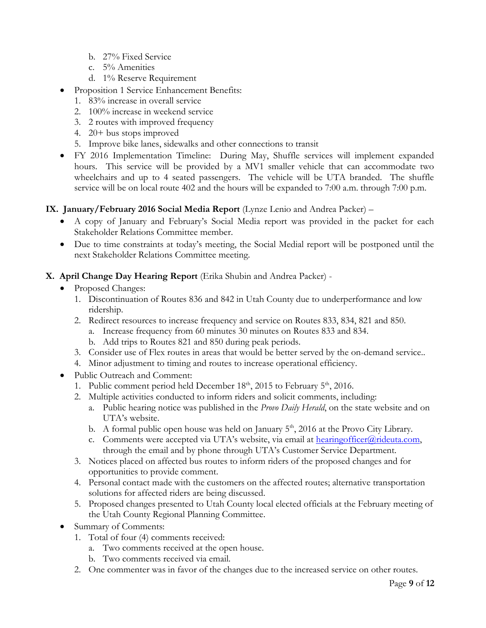- b. 27% Fixed Service
- c. 5% Amenities
- d. 1% Reserve Requirement
- Proposition 1 Service Enhancement Benefits:
	- 1. 83% increase in overall service
	- 2. 100% increase in weekend service
	- 3. 2 routes with improved frequency
	- 4. 20+ bus stops improved
	- 5. Improve bike lanes, sidewalks and other connections to transit
- FY 2016 Implementation Timeline: During May, Shuffle services will implement expanded hours. This service will be provided by a MV1 smaller vehicle that can accommodate two wheelchairs and up to 4 seated passengers. The vehicle will be UTA branded. The shuffle service will be on local route 402 and the hours will be expanded to 7:00 a.m. through 7:00 p.m.

# **IX. January/February 2016 Social Media Report** (Lynze Lenio and Andrea Packer) –

- A copy of January and February's Social Media report was provided in the packet for each Stakeholder Relations Committee member.
- Due to time constraints at today's meeting, the Social Medial report will be postponed until the next Stakeholder Relations Committee meeting.
- **X. April Change Day Hearing Report** (Erika Shubin and Andrea Packer)
	- Proposed Changes:
		- 1. Discontinuation of Routes 836 and 842 in Utah County due to underperformance and low ridership.
		- 2. Redirect resources to increase frequency and service on Routes 833, 834, 821 and 850.
			- a. Increase frequency from 60 minutes 30 minutes on Routes 833 and 834.
			- b. Add trips to Routes 821 and 850 during peak periods.
		- 3. Consider use of Flex routes in areas that would be better served by the on-demand service..
		- 4. Minor adjustment to timing and routes to increase operational efficiency.
	- Public Outreach and Comment:
		- 1. Public comment period held December  $18<sup>th</sup>$ , 2015 to February  $5<sup>th</sup>$ , 2016.
		- 2. Multiple activities conducted to inform riders and solicit comments, including:
			- a. Public hearing notice was published in the *Provo Daily Herald*, on the state website and on UTA's website.
			- b. A formal public open house was held on January  $5<sup>th</sup>$ , 2016 at the Provo City Library.
			- c. Comments were accepted via UTA's website, via email at [hearingofficer@rideuta.com,](mailto:hearingofficer@rideuta.com) through the email and by phone through UTA's Customer Service Department.
		- 3. Notices placed on affected bus routes to inform riders of the proposed changes and for opportunities to provide comment.
		- 4. Personal contact made with the customers on the affected routes; alternative transportation solutions for affected riders are being discussed.
		- 5. Proposed changes presented to Utah County local elected officials at the February meeting of the Utah County Regional Planning Committee.
	- Summary of Comments:
		- 1. Total of four (4) comments received:
			- a. Two comments received at the open house.
			- b. Two comments received via email.
		- 2. One commenter was in favor of the changes due to the increased service on other routes.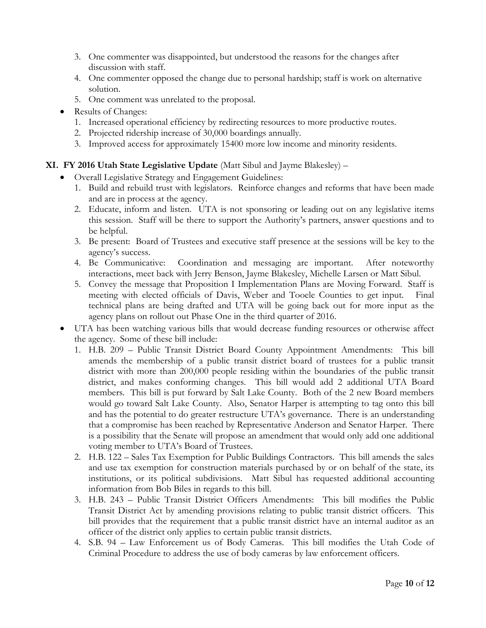- 3. One commenter was disappointed, but understood the reasons for the changes after discussion with staff.
- 4. One commenter opposed the change due to personal hardship; staff is work on alternative solution.
- 5. One comment was unrelated to the proposal.
- Results of Changes:
	- 1. Increased operational efficiency by redirecting resources to more productive routes.
	- 2. Projected ridership increase of 30,000 boardings annually.
	- 3. Improved access for approximately 15400 more low income and minority residents.

# **XI. FY 2016 Utah State Legislative Update** (Matt Sibul and Jayme Blakesley) –

- Overall Legislative Strategy and Engagement Guidelines:
	- 1. Build and rebuild trust with legislators. Reinforce changes and reforms that have been made and are in process at the agency.
	- 2. Educate, inform and listen. UTA is not sponsoring or leading out on any legislative items this session. Staff will be there to support the Authority's partners, answer questions and to be helpful.
	- 3. Be present: Board of Trustees and executive staff presence at the sessions will be key to the agency's success.
	- 4. Be Communicative: Coordination and messaging are important. After noteworthy interactions, meet back with Jerry Benson, Jayme Blakesley, Michelle Larsen or Matt Sibul.
	- 5. Convey the message that Proposition I Implementation Plans are Moving Forward. Staff is meeting with elected officials of Davis, Weber and Tooele Counties to get input. Final technical plans are being drafted and UTA will be going back out for more input as the agency plans on rollout out Phase One in the third quarter of 2016.
- UTA has been watching various bills that would decrease funding resources or otherwise affect the agency. Some of these bill include:
	- 1. H.B. 209 Public Transit District Board County Appointment Amendments: This bill amends the membership of a public transit district board of trustees for a public transit district with more than 200,000 people residing within the boundaries of the public transit district, and makes conforming changes. This bill would add 2 additional UTA Board members. This bill is put forward by Salt Lake County. Both of the 2 new Board members would go toward Salt Lake County. Also, Senator Harper is attempting to tag onto this bill and has the potential to do greater restructure UTA's governance. There is an understanding that a compromise has been reached by Representative Anderson and Senator Harper. There is a possibility that the Senate will propose an amendment that would only add one additional voting member to UTA's Board of Trustees.
	- 2. H.B. 122 Sales Tax Exemption for Public Buildings Contractors. This bill amends the sales and use tax exemption for construction materials purchased by or on behalf of the state, its institutions, or its political subdivisions. Matt Sibul has requested additional accounting information from Bob Biles in regards to this bill.
	- 3. H.B. 243 Public Transit District Officers Amendments: This bill modifies the Public Transit District Act by amending provisions relating to public transit district officers. This bill provides that the requirement that a public transit district have an internal auditor as an officer of the district only applies to certain public transit districts.
	- 4. S.B. 94 Law Enforcement us of Body Cameras. This bill modifies the Utah Code of Criminal Procedure to address the use of body cameras by law enforcement officers.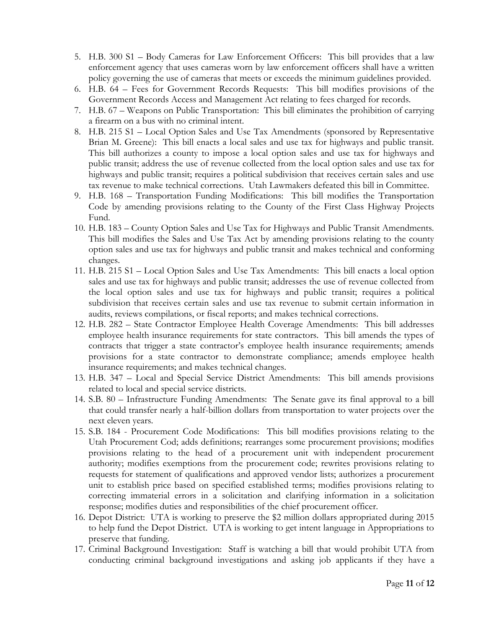- 5. H.B. 300 S1 Body Cameras for Law Enforcement Officers: This bill provides that a law enforcement agency that uses cameras worn by law enforcement officers shall have a written policy governing the use of cameras that meets or exceeds the minimum guidelines provided.
- 6. H.B. 64 Fees for Government Records Requests: This bill modifies provisions of the Government Records Access and Management Act relating to fees charged for records.
- 7. H.B. 67 Weapons on Public Transportation: This bill eliminates the prohibition of carrying a firearm on a bus with no criminal intent.
- 8. H.B. 215 S1 Local Option Sales and Use Tax Amendments (sponsored by Representative Brian M. Greene): This bill enacts a local sales and use tax for highways and public transit. This bill authorizes a county to impose a local option sales and use tax for highways and public transit; address the use of revenue collected from the local option sales and use tax for highways and public transit; requires a political subdivision that receives certain sales and use tax revenue to make technical corrections. Utah Lawmakers defeated this bill in Committee.
- 9. H.B. 168 Transportation Funding Modifications: This bill modifies the Transportation Code by amending provisions relating to the County of the First Class Highway Projects Fund.
- 10. H.B. 183 County Option Sales and Use Tax for Highways and Public Transit Amendments. This bill modifies the Sales and Use Tax Act by amending provisions relating to the county option sales and use tax for highways and public transit and makes technical and conforming changes.
- 11. H.B. 215 S1 Local Option Sales and Use Tax Amendments: This bill enacts a local option sales and use tax for highways and public transit; addresses the use of revenue collected from the local option sales and use tax for highways and public transit; requires a political subdivision that receives certain sales and use tax revenue to submit certain information in audits, reviews compilations, or fiscal reports; and makes technical corrections.
- 12. H.B. 282 State Contractor Employee Health Coverage Amendments: This bill addresses employee health insurance requirements for state contractors. This bill amends the types of contracts that trigger a state contractor's employee health insurance requirements; amends provisions for a state contractor to demonstrate compliance; amends employee health insurance requirements; and makes technical changes.
- 13. H.B. 347 Local and Special Service District Amendments: This bill amends provisions related to local and special service districts.
- 14. S.B. 80 Infrastructure Funding Amendments: The Senate gave its final approval to a bill that could transfer nearly a half-billion dollars from transportation to water projects over the next eleven years.
- 15. S.B. 184 Procurement Code Modifications: This bill modifies provisions relating to the Utah Procurement Cod; adds definitions; rearranges some procurement provisions; modifies provisions relating to the head of a procurement unit with independent procurement authority; modifies exemptions from the procurement code; rewrites provisions relating to requests for statement of qualifications and approved vendor lists; authorizes a procurement unit to establish price based on specified established terms; modifies provisions relating to correcting immaterial errors in a solicitation and clarifying information in a solicitation response; modifies duties and responsibilities of the chief procurement officer.
- 16. Depot District: UTA is working to preserve the \$2 million dollars appropriated during 2015 to help fund the Depot District. UTA is working to get intent language in Appropriations to preserve that funding.
- 17. Criminal Background Investigation: Staff is watching a bill that would prohibit UTA from conducting criminal background investigations and asking job applicants if they have a